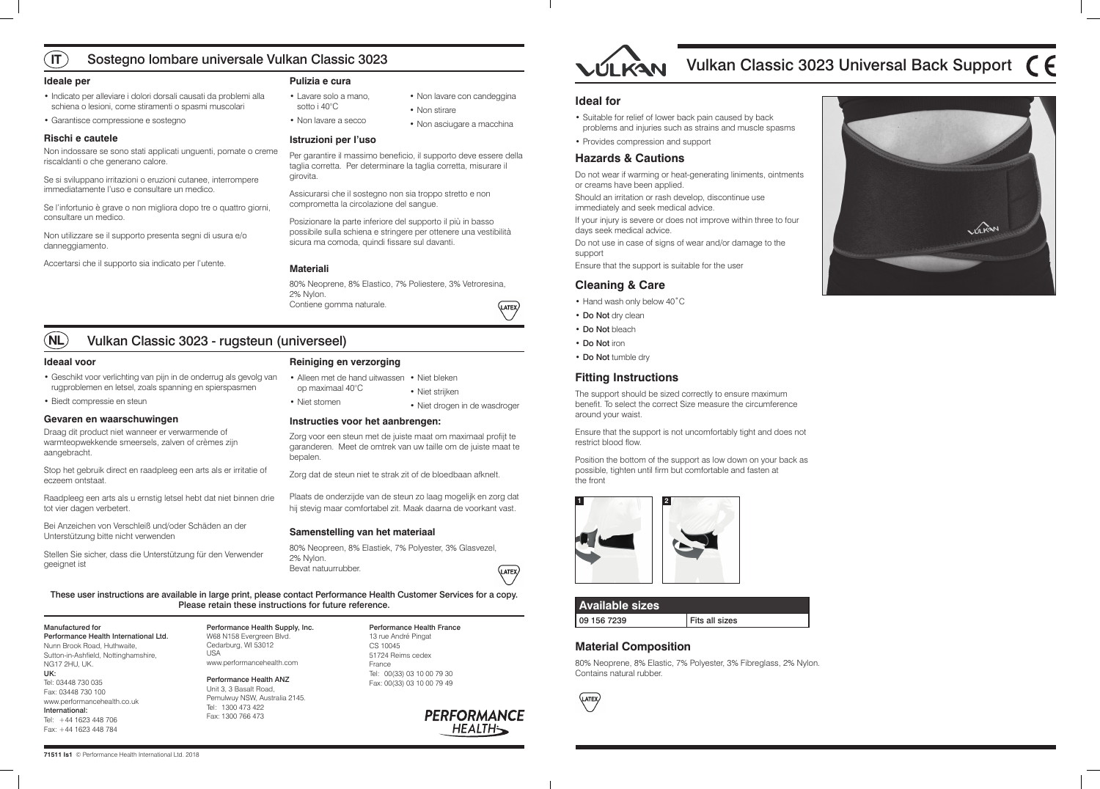| <b>Available sizes</b> |                |
|------------------------|----------------|
| 09 156 7239            | Fits all sizes |

### **Material Composition**

80% Neoprene, 8% Elastic, 7% Polyester, 3% Fibreglass, 2% Nylon. Contains natural rubber.





#### These user instructions are available in large print, please contact Performance Health Customer Services for a copy. Please retain these instructions for future reference.

Manufactured for Performance Health International Ltd. Nunn Brook Road, Huthwaite, Sutton-in-Ashfield, Nottinghamshire, NG17 2HU, UK. UK: Tel: 03448 730 035 Fax: 03448 730 100 www.performancehealth.co.uk International: Tel: +44 1623 448 706 Fax: +44 1623 448 784

Performance Health Supply, Inc. W68 N158 Evergreen Blvd. Cedarburg, WI 53012 USA www.performancehealth.com

Performance Health ANZ Unit 3, 3 Basalt Road, Pemulwuy NSW, Australia 2145. Tel: 1300 473 422 Fax: 1300 766 473

Performance Health France 13 rue André Pingat CS 10045 51724 Reims cedex France Tel: 00(33) 03 10 00 79 30 Fax: 00(33) 03 10 00 79 49





#### **Ideal for**

- Suitable for relief of lower back pain caused by back problems and injuries such as strains and muscle spasms
- Provides compression and support

#### **Hazards & Cautions**

Do not wear if warming or heat-generating liniments, ointments or creams have been applied.

Should an irritation or rash develop, discontinue use immediately and seek medical advice.

If your injury is severe or does not improve within three to four days seek medical advice.

Do not use in case of signs of wear and/or damage to the support

Ensure that the support is suitable for the user

#### **Cleaning & Care**

- Hand wash only below 40˚C
- Do Not dry clean
- Do Not bleach
- Do Not iron
- Do Not tumble dry

#### **Fitting Instructions**

The support should be sized correctly to ensure maximum benefit. To select the correct Size measure the circumference around your waist.

Ensure that the support is not uncomfortably tight and does not restrict blood flow.

Position the bottom of the support as low down on your back as possible, tighten until firm but comfortable and fasten at the front

#### **Ideale per**

- Indicato per alleviare i dolori dorsali causati da problemi alla schiena o lesioni, come stiramenti o spasmi muscolari
- Garantisce compressione e sostegno

#### **Rischi e cautele**

- Alleen met de hand uitwassen Niet bleken op maximaal 40°C
- Niet stomen

Non indossare se sono stati applicati unguenti, pomate o creme riscaldanti o che generano calore.

Se si sviluppano irritazioni o eruzioni cutanee, interrompere immediatamente l'uso e consultare un medico.

Se l'infortunio è grave o non migliora dopo tre o quattro giorni, consultare un medico.

Non utilizzare se il supporto presenta segni di usura e/o danneggiamento.

Accertarsi che il supporto sia indicato per l'utente.

#### **Pulizia e cura**

#### **Istruzioni per l'uso**

Per garantire il massimo beneficio, il supporto deve essere della taglia corretta. Per determinare la taglia corretta, misurare il girovita.

Assicurarsi che il sostegno non sia troppo stretto e non comprometta la circolazione del sangue.

Posizionare la parte inferiore del supporto il più in basso possibile sulla schiena e stringere per ottenere una vestibilità sicura ma comoda, quindi fissare sul davanti.

#### **Materiali**

80% Neoprene, 8% Elastico, 7% Poliestere, 3% Vetroresina, 2% Nylon. Contiene gomma naturale.



#### **Ideaal voor**

#### **IT** Sostegno lombare universale Vulkan Classic 3023

#### **NL** Vulkan Classic 3023 - rugsteun (universeel)

- Geschikt voor verlichting van pijn in de onderrug als gevolg van rugproblemen en letsel, zoals spanning en spierspasmen
- Biedt compressie en steun

#### **Gevaren en waarschuwingen**

Draag dit product niet wanneer er verwarmende of warmteopwekkende smeersels, zalven of crèmes zijn aangebracht.

Stop het gebruik direct en raadpleeg een arts als er irritatie of eczeem ontstaat.

Raadpleeg een arts als u ernstig letsel hebt dat niet binnen drie tot vier dagen verbetert.

Bei Anzeichen von Verschleiß und/oder Schäden an der Unterstützung bitte nicht verwenden

Stellen Sie sicher, dass die Unterstützung für den Verwender geeignet ist

#### **Reiniging en verzorging**

**Instructies voor het aanbrengen:**

Zorg voor een steun met de juiste maat om maximaal profijt te

garanderen. Meet de omtrek van uw taille om de juiste maat te bepalen.

Zorg dat de steun niet te strak zit of de bloedbaan afknelt.

Plaats de onderzijde van de steun zo laag mogelijk en zorg dat hij stevig maar comfortabel zit. Maak daarna de voorkant vast.

#### **Samenstelling van het materiaal**

80% Neopreen, 8% Elastiek, 7% Polyester, 3% Glasvezel, 2% Nylon. Bevat natuurrubber.



- Lavare solo a mano, sotto i 40°C
- Non lavare a secco

• Non lavare con candeggina

• Non stirare

• Non asciugare a macchina

• Niet strijken

# Vulkan Classic 3023 Universal Back Support  $\mathsf{\mathfrak{C}}\mathsf{F}$





• Niet drogen in de wasdroger